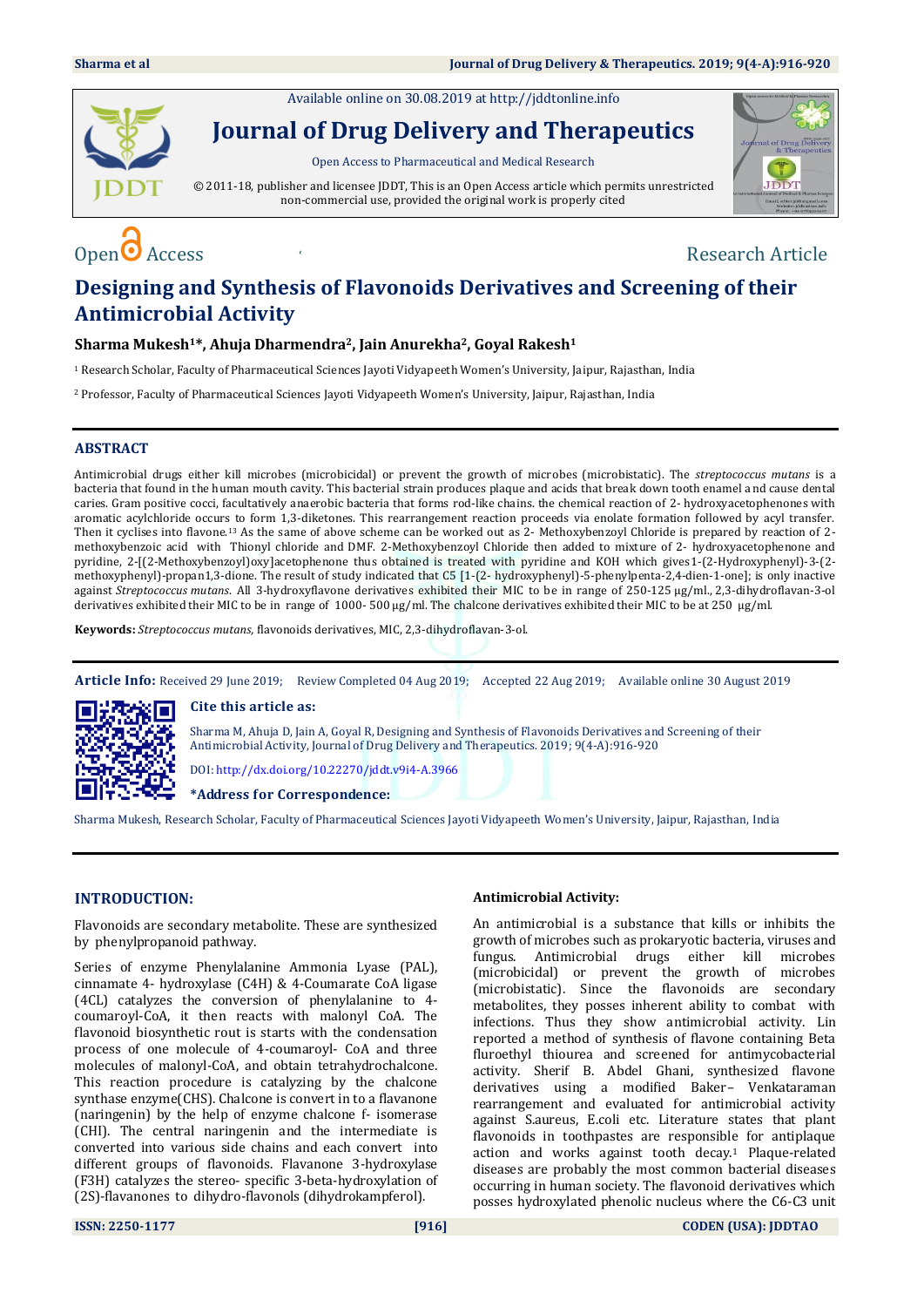Available online on 30.08.2019 at [http://jddtonline.info](http://jddtonline.info/)



**Journal of Drug Delivery and Therapeutics**

Open Access to Pharmaceutical and Medical Research

© 2011-18, publisher and licensee JDDT, This is an Open Access article which permits unrestricted non-commercial use, provided the original work is properly cited



# $\Omega$  Access  $\Omega$  Access  $\Omega$  and  $\Omega$  are  $\Omega$  and  $\Omega$  are  $\Omega$  are  $\Omega$  are  $\Omega$  are  $\Omega$  are  $\Omega$  and  $\Omega$  are  $\Omega$  and  $\Omega$  are  $\Omega$  and  $\Omega$  are  $\Omega$  and  $\Omega$  are  $\Omega$  and  $\Omega$  are  $\Omega$  and  $\Omega$  are  $\Omega$  and  $\Omega$  are

# **Designing and Synthesis of Flavonoids Derivatives and Screening of their Antimicrobial Activity**

# **Sharma Mukesh1\*, Ahuja Dharmendra2, Jain Anurekha2, Goyal Rakesh<sup>1</sup>**

<sup>1</sup>Research Scholar, Faculty of Pharmaceutical Sciences Jayoti Vidyapeeth Women's University, Jaipur, Rajasthan, India

<sup>2</sup>Professor, Faculty of Pharmaceutical Sciences Jayoti Vidyapeeth Women's University, Jaipur, Rajasthan, India

# **ABSTRACT**

Antimicrobial drugs either kill microbes (microbicidal) or prevent the growth of microbes (microbistatic). The *streptococcus mutans* is a bacteria that found in the human mouth cavity. This bacterial strain produces plaque and acids that break down tooth enamel and cause dental caries. Gram positive cocci, facultatively anaerobic bacteria that forms rod-like chains. the chemical reaction of 2- hydroxyacetophenones with aromatic acylchloride occurs to form 1,3-diketones. This rearrangement reaction proceeds via enolate formation followed by acyl transfer. Then it cyclises into flavone.<sup>13</sup> As the same of above scheme can be worked out as 2- Methoxybenzoyl Chloride is prepared by reaction of 2 methoxybenzoic acid with Thionyl chloride and DMF. 2-Methoxybenzoyl Chloride then added to mixture of 2- hydroxyacetophenone and pyridine, 2-[(2-Methoxybenzoyl)oxy]acetophenone thus obtained is treated with pyridine and KOH which gives1-(2-Hydroxyphenyl)-3-(2 methoxyphenyl)-propan1,3-dione. The result of study indicated that C5 [1-(2- hydroxyphenyl)-5-phenylpenta-2,4-dien-1-one]; is only inactive against *Streptococcus mutans*. All 3-hydroxyflavone derivatives exhibited their MIC to be in range of 250-125 µg/ml., 2,3-dihydroflavan-3-ol derivatives exhibited their MIC to be in range of 1000-500 µg/ml. The chalcone derivatives exhibited their MIC to be at 250 µg/ml.

**Keywords:** *Streptococcus mutans,* flavonoids derivatives, MIC, 2,3-dihydroflavan-3-ol.

**Article Info:** Received 29 June 2019; Review Completed 04 Aug 2019; Accepted 22 Aug 2019; Available online 30 August 2019



**Cite this article as:**

Sharma M, Ahuja D, Jain A, Goyal R, Designing and Synthesis of Flavonoids Derivatives and Screening of their Antimicrobial Activity, Journal of Drug Delivery and Therapeutics. 2019; 9(4-A):916-920

DOI[: http://dx.doi.org/10.22270/jddt.v9i4-A.3966](http://dx.doi.org/10.22270/jddt.v9i4-A.3966) 

**\*Address for Correspondence:** 

Sharma Mukesh, Research Scholar, Faculty of Pharmaceutical Sciences Jayoti Vidyapeeth Women's University, Jaipur, Rajasthan, India

# **INTRODUCTION:**

Flavonoids are secondary metabolite. These are synthesized by phenylpropanoid pathway.

Series of enzyme Phenylalanine Ammonia Lyase (PAL), cinnamate 4- hydroxylase (C4H) & 4-Coumarate CoA ligase (4CL) catalyzes the conversion of phenylalanine to 4 coumaroyl-CoA, it then reacts with malonyl CoA. The flavonoid biosynthetic rout is starts with the condensation process of one molecule of 4-coumaroyl- CoA and three molecules of malonyl-CoA, and obtain tetrahydrochalcone. This reaction procedure is catalyzing by the chalcone synthase enzyme(CHS). Chalcone is convert in to a flavanone (naringenin) by the help of enzyme chalcone f- isomerase (CHI). The central naringenin and the intermediate is converted into various side chains and each convert into different groups of flavonoids. Flavanone 3-hydroxylase (F3H) catalyzes the stereo- specific 3-beta-hydroxylation of (2S)-flavanones to dihydro-flavonols (dihydrokampferol).

## **Antimicrobial Activity:**

An antimicrobial is a substance that kills or inhibits the growth of microbes such as prokaryotic bacteria, viruses and fungus. Antimicrobial drugs either kill microbes (microbicidal) or prevent the growth of microbes (microbistatic). Since the flavonoids are secondary metabolites, they posses inherent ability to combat with infections. Thus they show antimicrobial activity. Lin reported a method of synthesis of flavone containing Beta fluroethyl thiourea and screened for antimycobacterial activity. Sherif B. Abdel Ghani, synthesized flavone derivatives using a modified Baker– Venkataraman rearrangement and evaluated for antimicrobial activity against S.aureus, E.coli etc. Literature states that plant flavonoids in toothpastes are responsible for antiplaque action and works against tooth decay.<sup>1</sup> Plaque-related diseases are probably the most common bacterial diseases occurring in human society. The flavonoid derivatives which posses hydroxylated phenolic nucleus where the C6-C3 unit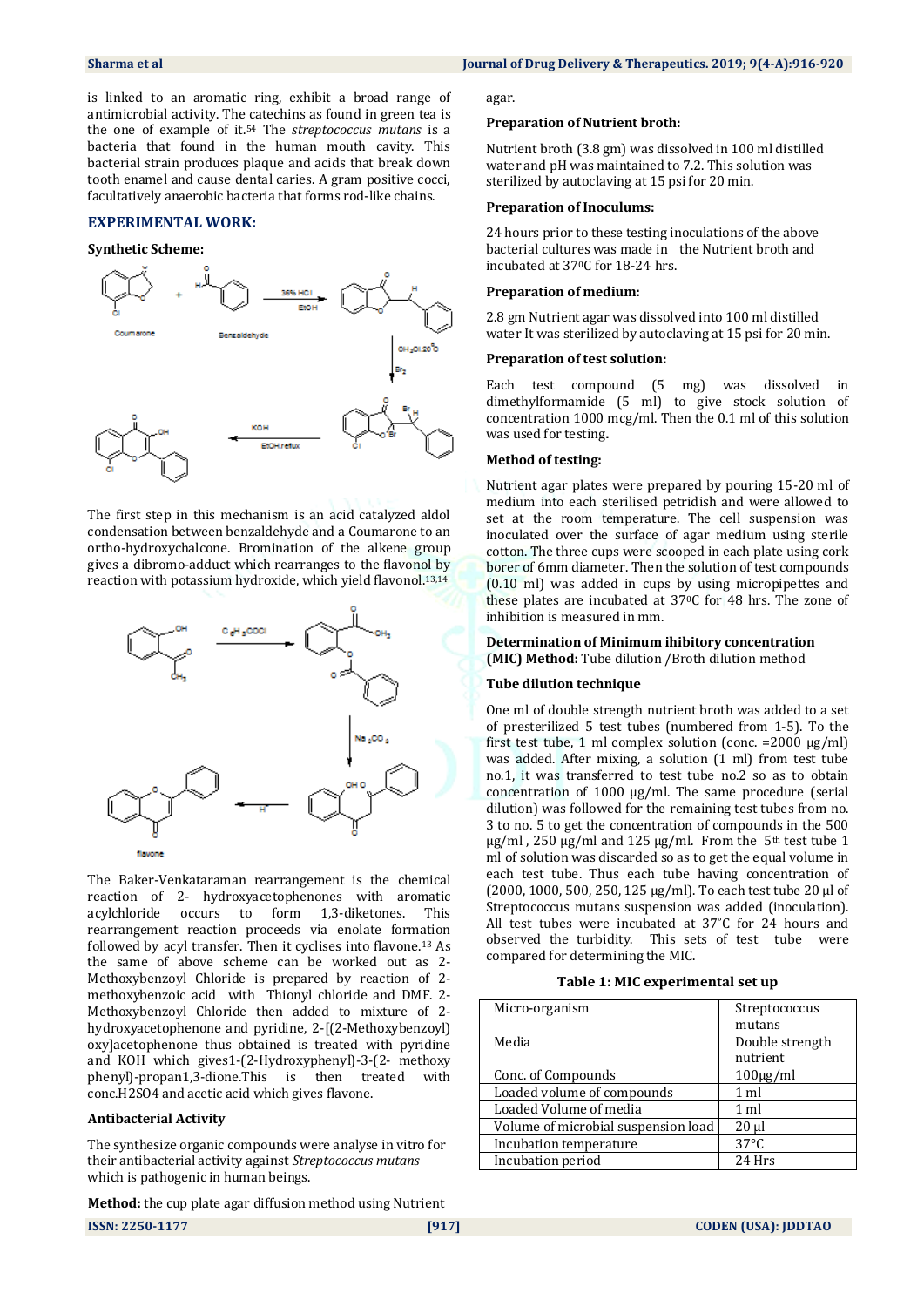is linked to an aromatic ring, exhibit a broad range of antimicrobial activity. The catechins as found in green tea is the one of example of it.<sup>54</sup> The *streptococcus mutans* is a bacteria that found in the human mouth cavity. This bacterial strain produces plaque and acids that break down tooth enamel and cause dental caries. A gram positive cocci, facultatively anaerobic bacteria that forms rod-like chains.

# **EXPERIMENTAL WORK:**

#### **Synthetic Scheme:**



The first step in this mechanism is an acid catalyzed aldol condensation between benzaldehyde and a Coumarone to an ortho-hydroxychalcone. Bromination of the alkene group gives a dibromo-adduct which rearranges to the flavonol by reaction with potassium hydroxide, which yield flavonol.13,14



The Baker-Venkataraman rearrangement is the chemical reaction of 2- hydroxyacetophenones with aromatic acylchloride occurs to form 1,3-diketones. This rearrangement reaction proceeds via enolate formation followed by acyl transfer. Then it cyclises into flavone.<sup>13</sup> As the same of above scheme can be worked out as 2- Methoxybenzoyl Chloride is prepared by reaction of 2 methoxybenzoic acid with Thionyl chloride and DMF. 2- Methoxybenzoyl Chloride then added to mixture of 2 hydroxyacetophenone and pyridine, 2-[(2-Methoxybenzoyl) oxy]acetophenone thus obtained is treated with pyridine and KOH which gives1-(2-Hydroxyphenyl)-3-(2- methoxy phenyl)-propan1,3-dione.This is then treated with conc.H2SO4 and acetic acid which gives flavone.

# **Antibacterial Activity**

The synthesize organic compounds were analyse in vitro for their antibacterial activity against *Streptococcus mutans*  which is pathogenic in human beings.

**Method:** the cup plate agar diffusion method using Nutrient

agar.

#### **Preparation of Nutrient broth:**

Nutrient broth (3.8 gm) was dissolved in 100 ml distilled water and pH was maintained to 7.2. This solution was sterilized by autoclaving at 15 psi for 20 min.

#### **Preparation of Inoculums:**

24 hours prior to these testing inoculations of the above bacterial cultures was made in the Nutrient broth and incubated at 370C for 18-24 hrs.

#### **Preparation of medium:**

2.8 gm Nutrient agar was dissolved into 100 ml distilled water It was sterilized by autoclaving at 15 psi for 20 min.

#### **Preparation of test solution:**

Each test compound (5 mg) was dissolved in dimethylformamide (5 ml) to give stock solution of concentration 1000 mcg/ml. Then the 0.1 ml of this solution was used for testing**.**

#### **Method of testing:**

Nutrient agar plates were prepared by pouring 15-20 ml of medium into each sterilised petridish and were allowed to set at the room temperature. The cell suspension was inoculated over the surface of agar medium using sterile cotton. The three cups were scooped in each plate using cork borer of 6mm diameter. Then the solution of test compounds (0.10 ml) was added in cups by using micropipettes and these plates are incubated at 370C for 48 hrs. The zone of inhibition is measured in mm.

#### **Determination of Minimum ihibitory concentration (MIC) Method:** Tube dilution /Broth dilution method

#### **Tube dilution technique**

One ml of double strength nutrient broth was added to a set of presterilized 5 test tubes (numbered from 1-5). To the first test tube, 1 ml complex solution (conc. =  $2000 \mu g/ml$ ) was added. After mixing, a solution (1 ml) from test tube no.1, it was transferred to test tube no.2 so as to obtain concentration of 1000 µg/ml. The same procedure (serial dilution) was followed for the remaining test tubes from no. 3 to no. 5 to get the concentration of compounds in the 500  $\mu$ g/ml, 250  $\mu$ g/ml and 125  $\mu$ g/ml. From the 5<sup>th</sup> test tube 1 ml of solution was discarded so as to get the equal volume in each test tube. Thus each tube having concentration of (2000, 1000, 500, 250, 125 µg/ml). To each test tube 20 µl of Streptococcus mutans suspension was added (inoculation). All test tubes were incubated at 37˚C for 24 hours and observed the turbidity. This sets of test tube were compared for determining the MIC.

#### **Table 1: MIC experimental set up**

| Micro-organism                      | Streptococcus   |  |
|-------------------------------------|-----------------|--|
|                                     | mutans          |  |
| Media                               | Double strength |  |
|                                     | nutrient        |  |
| Conc. of Compounds                  | $100\mu g/ml$   |  |
| Loaded volume of compounds          | 1 ml            |  |
| Loaded Volume of media              | 1 ml            |  |
| Volume of microbial suspension load | $20 \mu$        |  |
| Incubation temperature              | $37^{\circ}$ C  |  |
| Incubation period                   | 24 Hrs          |  |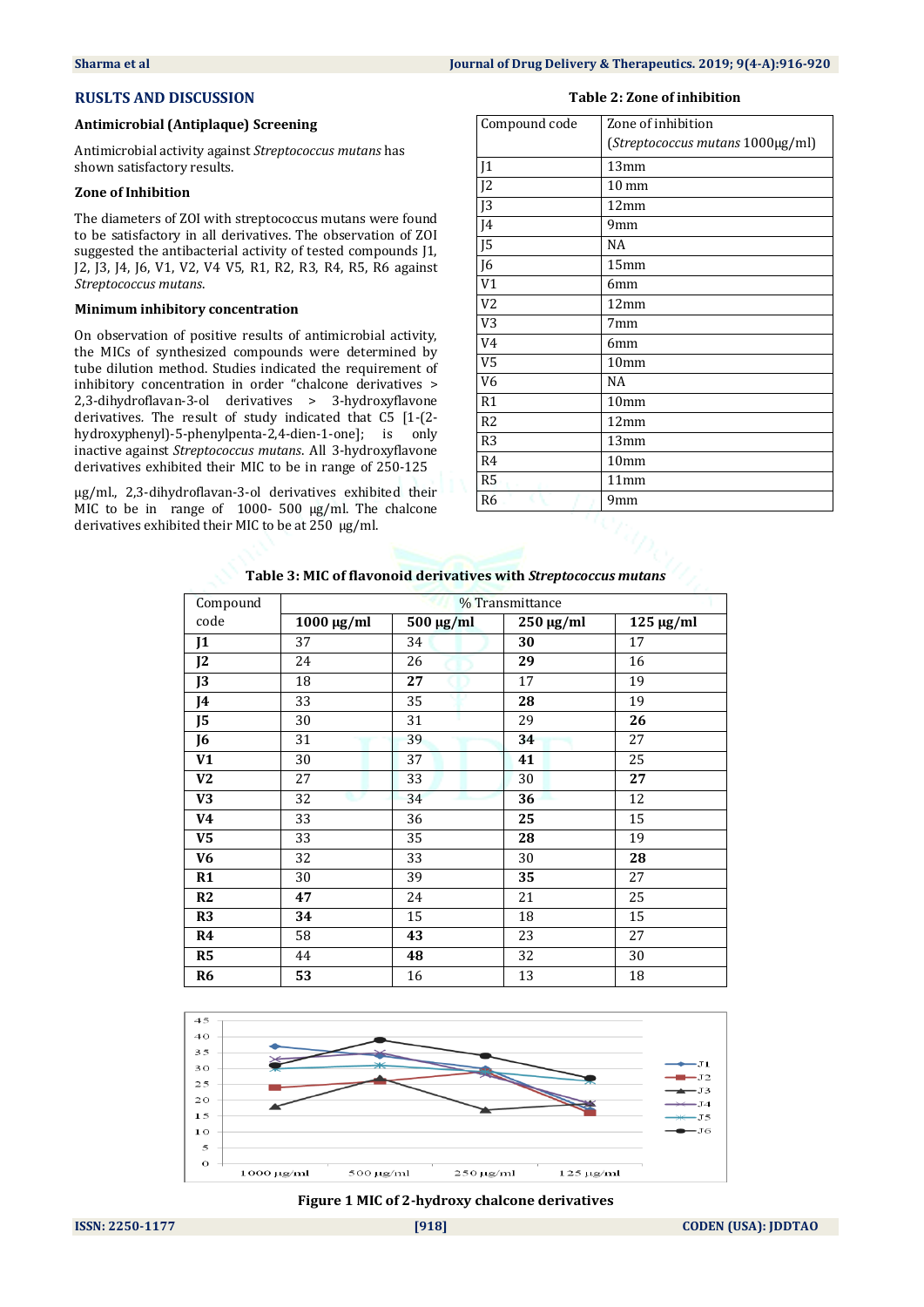# **RUSLTS AND DISCUSSION**

## **Antimicrobial (Antiplaque) Screening**

Antimicrobial activity against *Streptococcus mutans* has shown satisfactory results.

# **Zone of Inhibition**

The diameters of ZOI with streptococcus mutans were found to be satisfactory in all derivatives. The observation of ZOI suggested the antibacterial activity of tested compounds J1, J2, J3, J4, J6, V1, V2, V4 V5, R1, R2, R3, R4, R5, R6 against *Streptococcus mutans*.

### **Minimum inhibitory concentration**

On observation of positive results of antimicrobial activity, the MICs of synthesized compounds were determined by tube dilution method. Studies indicated the requirement of inhibitory concentration in order "chalcone derivatives > 2,3-dihydroflavan-3-ol derivatives > 3-hydroxyflavone derivatives*.* The result of study indicated that C5 [1-(2 hydroxyphenyl)-5-phenylpenta-2,4-dien-1-one]; is only inactive against *Streptococcus mutans*. All 3-hydroxyflavone derivatives exhibited their MIC to be in range of 250-125

µg/ml., 2,3-dihydroflavan-3-ol derivatives exhibited their MIC to be in range of 1000- 500 µg/ml. The chalcone derivatives exhibited their MIC to be at 250 µg/ml.

#### **Table 2: Zone of inhibition**

| Compound code  | Zone of inhibition               |  |  |
|----------------|----------------------------------|--|--|
|                | (Streptococcus mutans 1000µg/ml) |  |  |
| J <sub>1</sub> | 13mm                             |  |  |
| J <sub>2</sub> | $10 \text{ mm}$                  |  |  |
| J <sub>3</sub> | 12mm                             |  |  |
| J4             | 9mm                              |  |  |
| J <sub>5</sub> | NA                               |  |  |
| J6             | 15 <sub>mm</sub>                 |  |  |
| V1             | 6 <sub>mm</sub>                  |  |  |
| V <sub>2</sub> | 12mm                             |  |  |
| V <sub>3</sub> | 7mm                              |  |  |
| V4             | 6 <sub>mm</sub>                  |  |  |
| V <sub>5</sub> | 10 <sub>mm</sub>                 |  |  |
| V <sub>6</sub> | NA                               |  |  |
| R1             | 10 <sub>mm</sub>                 |  |  |
| R <sub>2</sub> | 12mm                             |  |  |
| R <sub>3</sub> | 13mm                             |  |  |
| R <sub>4</sub> | 10 <sub>mm</sub>                 |  |  |
| R5             | 11mm                             |  |  |
| R <sub>6</sub> | 9mm                              |  |  |
|                | ×                                |  |  |

# **Table 3: MIC of flavonoid derivatives with** *Streptococcus mutans*

| Compound       | % Transmittance |           |                |                |  |
|----------------|-----------------|-----------|----------------|----------------|--|
| code           | $1000 \mu g/ml$ | 500 μg/ml | $250 \mu g/ml$ | $125 \mu g/ml$ |  |
| J <sub>1</sub> | 37              | 34        | 30             | 17             |  |
| J <sub>2</sub> | 24              | 26        | 29             | 16             |  |
| J3             | 18              | 27        | 17             | 19             |  |
| J4             | 33              | 35        | 28             | 19             |  |
| J5             | 30              | 31        | 29             | 26             |  |
| J6             | 31              | 39        | 34             | 27             |  |
| V1             | 30              | 37        | 41             | 25             |  |
| V <sub>2</sub> | 27              | 33        | 30             | 27             |  |
| V3             | 32              | 34        | 36             | 12             |  |
| V4             | 33              | 36        | 25             | 15             |  |
| V <sub>5</sub> | 33              | 35        | 28             | 19             |  |
| V <sub>6</sub> | 32              | 33        | 30             | 28             |  |
| R1             | 30              | 39        | 35             | 27             |  |
| R2             | 47              | 24        | 21             | 25             |  |
| R <sub>3</sub> | 34              | 15        | 18             | 15             |  |
| R4             | 58              | 43        | 23             | 27             |  |
| R <sub>5</sub> | 44              | 48        | 32             | 30             |  |
| R <sub>6</sub> | 53              | 16        | 13             | 18             |  |



#### **Figure 1 MIC of 2-hydroxy chalcone derivatives**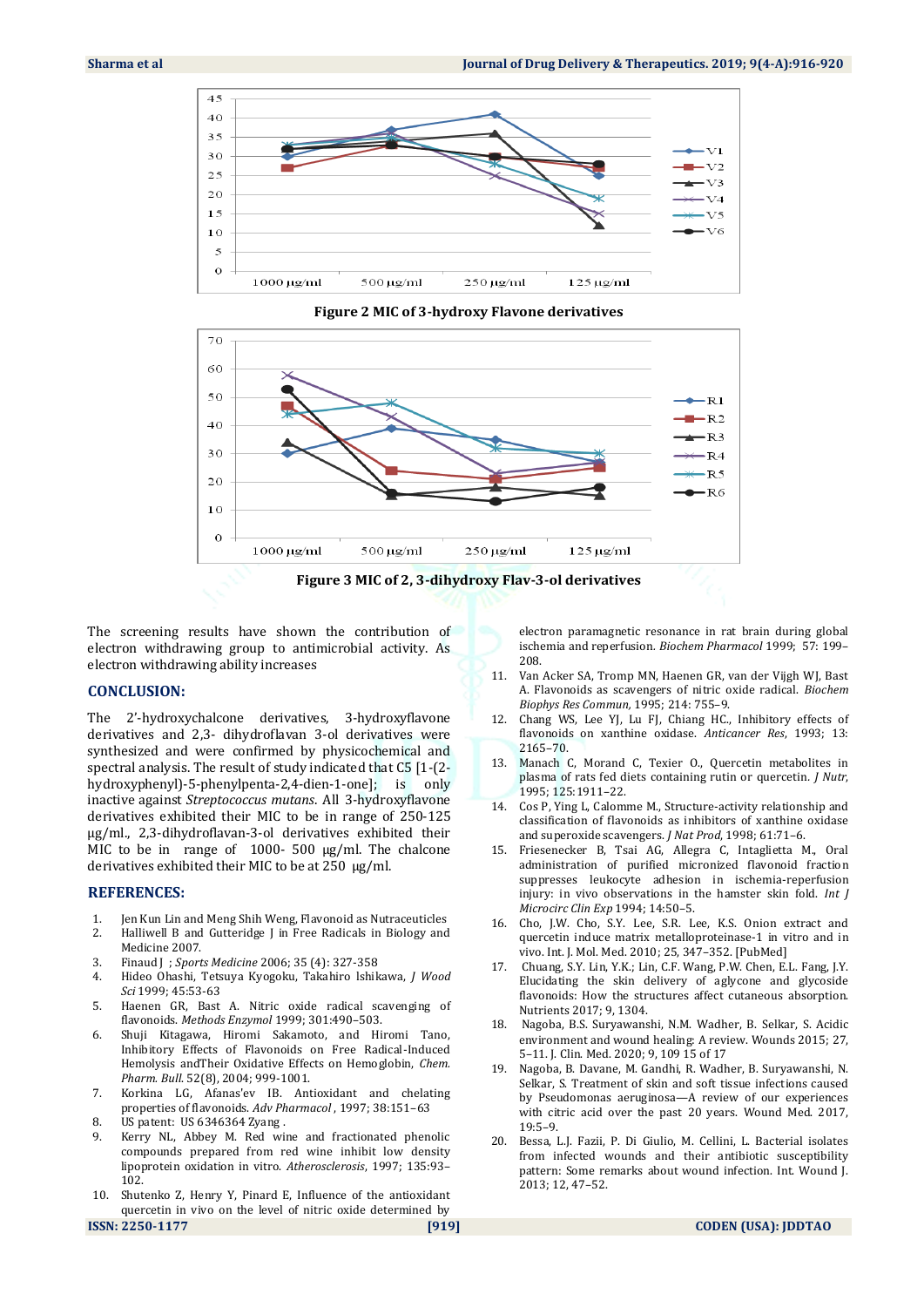





The screening results have shown the contribution of electron withdrawing group to antimicrobial activity. As electron withdrawing ability increases

### **CONCLUSION:**

The 2'-hydroxychalcone derivatives, 3-hydroxyflavone derivatives and 2,3- dihydroflavan 3-ol derivatives were synthesized and were confirmed by physicochemical and spectral analysis. The result of study indicated that C5 [1-(2 hydroxyphenyl)-5-phenylpenta-2,4-dien-1-one]; is only inactive against *Streptococcus mutans*. All 3-hydroxyflavone derivatives exhibited their MIC to be in range of 250-125 µg/ml., 2,3-dihydroflavan-3-ol derivatives exhibited their MIC to be in range of 1000- 500 µg/ml. The chalcone derivatives exhibited their MIC to be at 250 µg/ml.

#### **REFERENCES:**

- 1. Jen Kun Lin and Meng Shih Weng, Flavonoid as Nutraceuticles
- 2. Halliwell B and Gutteridge J in Free Radicals in Biology and Medicine 2007.
- 3. Finaud J ; *Sports Medicine* 2006; 35 (4): 327-358
- 4. Hideo Ohashi, Tetsuya Kyogoku, Takahiro lshikawa, *J Wood Sci* 1999; 45:53-63
- 5. Haenen GR, Bast A. Nitric oxide radical scavenging of flavonoids. *Methods Enzymol* 1999; 301:490–503.
- 6. Shuji Kitagawa, Hiromi Sakamoto, and Hiromi Tano, Inhibitory Effects of Flavonoids on Free Radical-Induced Hemolysis andTheir Oxidative Effects on Hemoglobin, *Chem. Pharm. Bull*. 52(8), 2004; 999-1001.
- 7. Korkina LG, Afanas'ev IB. Antioxidant and chelating properties of flavonoids. *Adv Pharmacol* , 1997; 38:151–63
- 8. US patent: US 6346364 Zyang .
- 9. Kerry NL, Abbey M. Red wine and fractionated phenolic compounds prepared from red wine inhibit low density lipoprotein oxidation in vitro. *Atherosclerosis*, 1997; 135:93– 102.
- 10. Shutenko Z, Henry Y, Pinard E, Influence of the antioxidant quercetin in vivo on the level of nitric oxide determined by

electron paramagnetic resonance in rat brain during global ischemia and reperfusion*. Biochem Pharmacol* 1999; 57: 199– 208.

- 11. Van Acker SA, Tromp MN, Haenen GR, van der Vijgh WJ, Bast A. Flavonoids as scavengers of nitric oxide radical. *Biochem Biophys Res Commun,* 1995; 214: 755–9.
- 12. Chang WS, Lee YJ, Lu FJ, Chiang HC., Inhibitory effects of flavonoids on xanthine oxidase. *Anticancer Res*, 1993; 13: 2165–70.
- 13. Manach C, Morand C, Texier O., Quercetin metabolites in plasma of rats fed diets containing rutin or quercetin*. J Nutr*, 1995; 125:1911–22.
- 14. Cos P, Ying L, Calomme M., Structure-activity relationship and classification of flavonoids as inhibitors of xanthine oxidase and superoxide scavengers. *J Nat Prod*, 1998; 61:71–6.
- 15. Friesenecker B, Tsai AG, Allegra C, Intaglietta M., Oral administration of purified micronized flavonoid fraction suppresses leukocyte adhesion in ischemia-reperfusion injury: in vivo observations in the hamster skin fold. *Int J Microcirc Clin Exp* 1994; 14:50–5.
- 16. Cho, J.W. Cho, S.Y. Lee, S.R. Lee, K.S. Onion extract and quercetin induce matrix metalloproteinase-1 in vitro and in vivo. Int. J. Mol. Med. 2010; 25, 347–352. [PubMed]
- 17. Chuang, S.Y. Lin, Y.K.; Lin, C.F. Wang, P.W. Chen, E.L. Fang, J.Y. Elucidating the skin delivery of aglycone and glycoside flavonoids: How the structures affect cutaneous absorption. Nutrients 2017; 9, 1304.
- 18. Nagoba, B.S. Suryawanshi, N.M. Wadher, B. Selkar, S. Acidic environment and wound healing: A review. Wounds 2015; 27, 5–11. J. Clin. Med. 2020; 9, 109 15 of 17
- 19. Nagoba, B. Davane, M. Gandhi, R. Wadher, B. Suryawanshi, N. Selkar, S. Treatment of skin and soft tissue infections caused by Pseudomonas aeruginosa—A review of our experiences with citric acid over the past 20 years. Wound Med. 2017, 19:5–9.
- 20. Bessa, L.J. Fazii, P. Di Giulio, M. Cellini, L. Bacterial isolates from infected wounds and their antibiotic susceptibility pattern: Some remarks about wound infection. Int. Wound J. 2013; 12, 47–52.